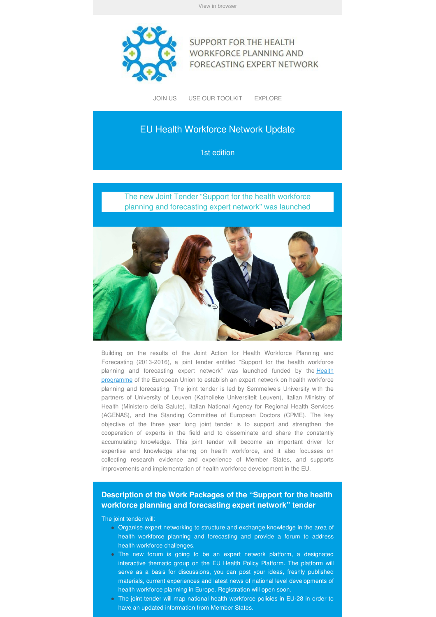

**SUPPORT FOR THE HEALTH WORKFORCE PLANNING AND** FORECASTING EXPERT NETWORK

JOIN US USE OUR TOOLKIT EXPLORE

### EU Health Workforce Network Update

1st edition

The new Joint Tender "Support for the health workforce planning and forecasting expert network" was launched



Building on the results of the Joint Action for Health Workforce Planning and Forecasting (2013-2016), a joint tender entitled "Support for the health workforce planning and forecasting expert network" was launched funded by the **Health** programme of the European Union to establish an expert network on health workforce planning and forecasting. The joint tender is led by Semmelweis University with the partners of University of Leuven (Katholieke Universiteit Leuven), Italian Ministry of Health (Ministero della Salute), Italian National Agency for Regional Health Services (AGENAS), and the Standing Committee of European Doctors (CPME). The key objective of the three year long joint tender is to support and strengthen the cooperation of experts in the field and to disseminate and share the constantly accumulating knowledge. This joint tender will become an important driver for expertise and knowledge sharing on health workforce, and it also focusses on collecting research evidence and experience of Member States, and supports improvements and implementation of health workforce development in the EU.

#### **Description of the Work Packages of the "Support for the health workforce planning and forecasting expert network" tender**

The joint tender will:

- Organise expert networking to structure and exchange knowledge in the area of health workforce planning and forecasting and provide a forum to address health workforce challenges.
- The new forum is going to be an expert network platform, a designated interactive thematic group on the EU Health Policy Platform. The platform will serve as a basis for discussions, you can post your ideas, freshly published materials, current experiences and latest news of national level developments of health workforce planning in Europe. Registration will open soon.
- The joint tender will map national health workforce policies in EU-28 in order to have an updated information from Member States.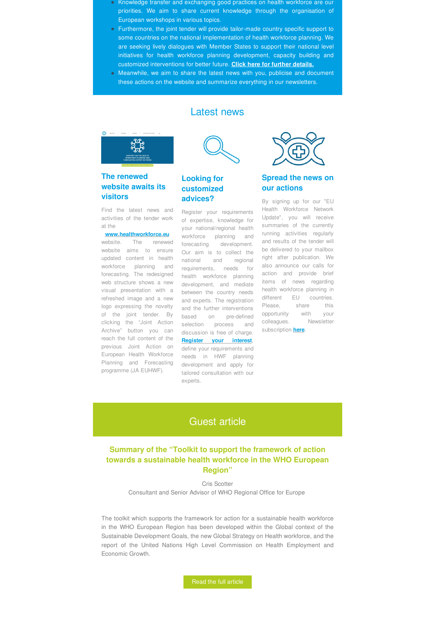- Knowledge transfer and exchanging good practices on health workforce are our priorities. We aim to share current knowledge through the organisation of European workshops in various topics.
- Furthermore, the joint tender will provide tailor-made country specific support to some countries on the national implementation of health workforce planning. We are seeking lively dialogues with Member States to support their national level initiatives for health workforce planning development, capacity building and customized interventions for better future. **Click here for further details.**
- Meanwhile, we aim to share the latest news with you, publicise and document these actions on the website and summarize everything in our newsletters.

#### **The renewed website awaits its visitors**

Find the latest news and at the

#### **www.healthworkforce.eu**

updated content in health workforce planning and forecasting. The redesigned web structure shows a new refreshed image and a new logo expressing the novelty Archive" button you can discussion is free of charge. reach the full content of the **Register your interest**, programme (JA EUHWF).



Latest news

#### **Looking for customized advices?**

activities of the tender work of expertise, knowledge for Update", you will receive website. The renewed forecasting development. website aims to ensure Our aim is to collect the visual presentation with a between the country needs of the joint tender. By based on pre-defined clicking the "Joint Action selection process and colleagues. Newsletter Register your requirements your national/regional health summaries of the currently workforce planning and running activities regularly national and regional requirements, needs for health workforce planning development, and mediate and experts. The registration and the further interventions

previous Joint Action on define your requirements and European Health Workforce needs in HWF planning Planning and Forecasting development and apply for tailored consultation with our experts.



#### **Spread the news on our actions**

By signing up for our "EU Health Workforce Network and results of the tender will be delivered to your mailbox right after publication. We also announce our calls for action and provide brief items of news regarding health workforce planning in different EU countries. Please, share this opportunity with your subscription **here**.

## Guest article

#### **Summary of the "Toolkit to support the framework of action towards a sustainable health workforce in the WHO European Region"**

Cris Scotter Consultant and Senior Advisor of WHO Regional Office for Europe

The toolkit which supports the framework for action for a sustainable health workforce in the WHO European Region has been developed within the Global context of the Sustainable Development Goals, the new Global Strategy on Health workforce, and the report of the United Nations High Level Commission on Health Employment and Economic Growth.

Read the full article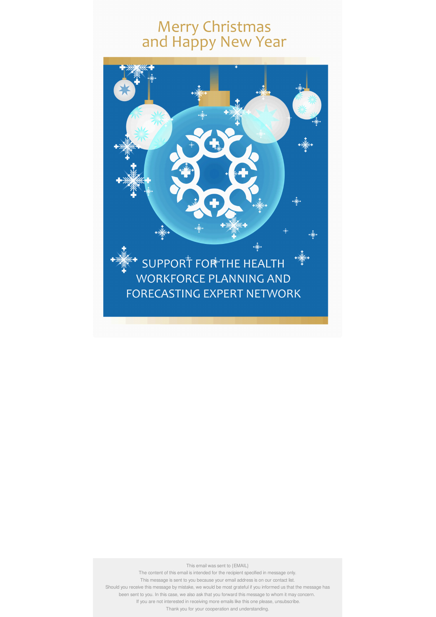# Merry Christmas<br>and Happy New Year



This email was sent to {EMAIL}

The content of this email is intended for the recipient specified in message only. This message is sent to you because your email address is on our contact list.

Should you receive this message by mistake, we would be most grateful if you informed us that the message has

been sent to you. In this case, we also ask that you forward this message to whom it may concern.

If you are not interested in receiving more emails like this one please, unsubscribe. Thank you for your cooperation and understanding.